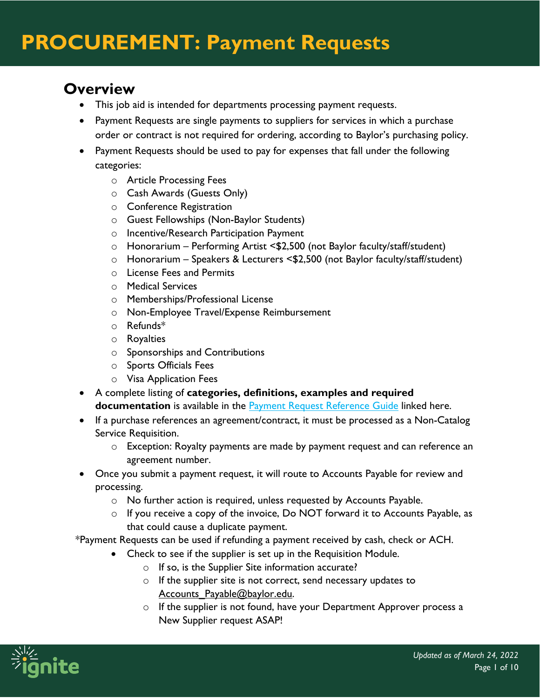### **Overview**

- This job aid is intended for departments processing payment requests.
- Payment Requests are single payments to suppliers for services in which a purchase order or contract is not required for ordering, according to Baylor's purchasing policy.
- Payment Requests should be used to pay for expenses that fall under the following categories:
	- o Article Processing Fees
	- o Cash Awards (Guests Only)
	- o Conference Registration
	- o Guest Fellowships (Non-Baylor Students)
	- o Incentive/Research Participation Payment
	- o Honorarium Performing Artist <\$2,500 (not Baylor faculty/staff/student)
	- o Honorarium Speakers & Lecturers <\$2,500 (not Baylor faculty/staff/student)
	- o License Fees and Permits
	- o Medical Services
	- o Memberships/Professional License
	- o Non-Employee Travel/Expense Reimbursement
	- o Refunds\*
	- o Royalties
	- o Sponsorships and Contributions
	- o Sports Officials Fees
	- o Visa Application Fees
- A complete listing of **categories, definitions, examples and required documentation** is available in the **Payment Request Reference Guide linked here.**
- If a purchase references an agreement/contract, it must be processed as a Non-Catalog Service Requisition.
	- o Exception: Royalty payments are made by payment request and can reference an agreement number.
- Once you submit a payment request, it will route to Accounts Payable for review and processing.
	- o No further action is required, unless requested by Accounts Payable.
	- o If you receive a copy of the invoice, Do NOT forward it to Accounts Payable, as that could cause a duplicate payment.

\*Payment Requests can be used if refunding a payment received by cash, check or ACH.

- Check to see if the supplier is set up in the Requisition Module.
	- o If so, is the Supplier Site information accurate?
	- o If the supplier site is not correct, send necessary updates to Accounts Payable@baylor.edu.
	- o If the supplier is not found, have your Department Approver process a New Supplier request ASAP!

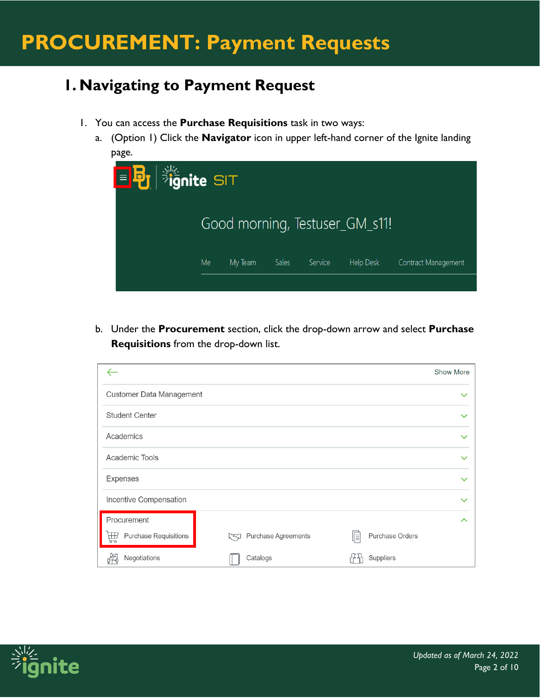### **1. Navigating to Payment Request**

- 1. You can access the **Purchase Requisitions** task in two ways:
	- a. (Option 1) Click the **Navigator** icon in upper left-hand corner of the Ignite landing page.

| $\boxed{\blacksquare\mathbf{E}}$ $\mathop{\mathbb{E}}^{\mathop{\Downarrow}\limits_{\mathop{\sim}\limits^{\mathop{\sim}\limits_{\mathop{\sim}\limits^{}}}}$ $\mathop{\Downarrow}\limits_{\mathop{\sim}\limits^{\mathop{\sim}\limits_{\mathop{\sim}\limits^{}}}}$ |    |         |       |         |                                |                     |
|-----------------------------------------------------------------------------------------------------------------------------------------------------------------------------------------------------------------------------------------------------------------|----|---------|-------|---------|--------------------------------|---------------------|
|                                                                                                                                                                                                                                                                 |    |         |       |         | Good morning, Testuser_GM_s11! |                     |
|                                                                                                                                                                                                                                                                 | Me | My Team | Sales | Service | Help Desk                      | Contract Management |
|                                                                                                                                                                                                                                                                 |    |         |       |         |                                |                     |

b. Under the **Procurement** section, click the drop-down arrow and select **Purchase Requisitions** from the drop-down list.

|                                   |                            |                              | <b>Show More</b> |
|-----------------------------------|----------------------------|------------------------------|------------------|
| <b>Customer Data Management</b>   |                            |                              |                  |
| <b>Student Center</b>             |                            |                              | $\checkmark$     |
| Academics                         |                            |                              | $\checkmark$     |
| Academic Tools                    |                            |                              | $\checkmark$     |
| Expenses                          |                            |                              | $\checkmark$     |
| Incentive Compensation            |                            |                              | $\checkmark$     |
| Procurement                       |                            |                              | ᄉ                |
| <b>Purchase Requisitions</b><br>孟 | Purchase Agreements<br>rej | <b>Purchase Orders</b><br>∥≣ |                  |
| Negotiations                      | Catalogs                   | Suppliers                    |                  |

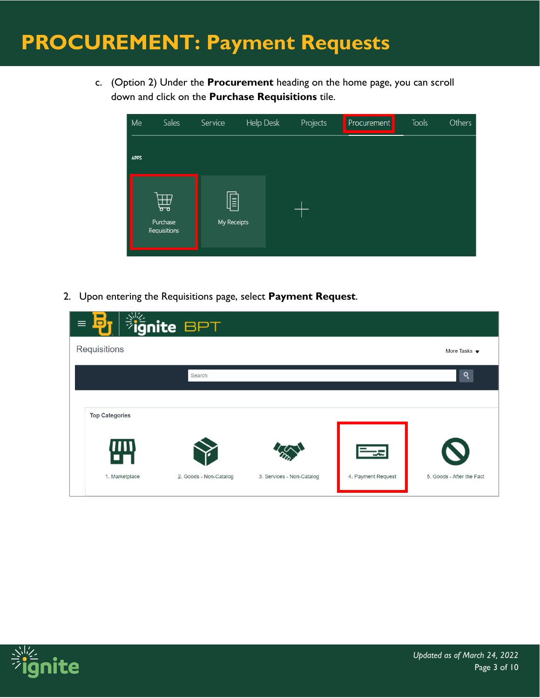c. (Option 2) Under the **Procurement** heading on the home page, you can scroll down and click on the **Purchase Requisitions** tile.

| Me          | Sales                         | Service          | Help Desk | Projects | Procurement | Tools | Others |
|-------------|-------------------------------|------------------|-----------|----------|-------------|-------|--------|
| <b>APPS</b> |                               |                  |           |          |             |       |        |
|             | 曲<br>Purchase<br>Requisitions | F<br>My Receipts |           |          |             |       |        |

2. Upon entering the Requisitions page, select **Payment Request**.

| o<br>$\equiv$         | <b>Fignite BPT</b>     |                           |                    |                                 |
|-----------------------|------------------------|---------------------------|--------------------|---------------------------------|
| Requisitions          |                        |                           |                    | More Tasks $\blacktriangledown$ |
|                       | Search                 |                           |                    | Q                               |
| <b>Top Categories</b> |                        |                           |                    |                                 |
|                       |                        |                           |                    |                                 |
| 侧                     |                        |                           | ╦                  |                                 |
| 1. Marketplace        | 2. Goods - Non-Catalog | 3. Services - Non-Catalog | 4. Payment Request | 5. Goods - After the Fact       |

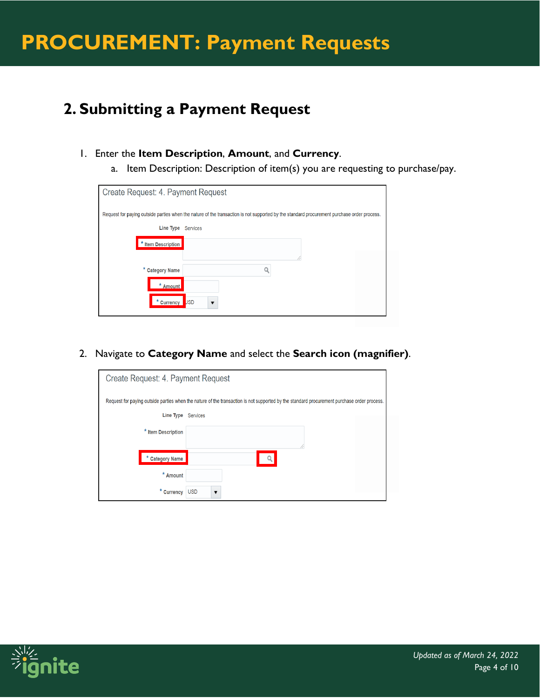### **2. Submitting a Payment Request**

- 1. Enter the **Item Description**, **Amount**, and **Currency**.
	- a. Item Description: Description of item(s) you are requesting to purchase/pay.

| Create Request: 4. Payment Request |                                                                                                                                            |  |  |  |  |  |
|------------------------------------|--------------------------------------------------------------------------------------------------------------------------------------------|--|--|--|--|--|
|                                    | Request for paying outside parties when the nature of the transaction is not supported by the standard procurement purchase order process. |  |  |  |  |  |
| Line Type                          | <b>Services</b>                                                                                                                            |  |  |  |  |  |
| * Item Description                 |                                                                                                                                            |  |  |  |  |  |
| * Category Name                    |                                                                                                                                            |  |  |  |  |  |
| * Amount                           |                                                                                                                                            |  |  |  |  |  |
| * Currency                         | <b>JSD</b>                                                                                                                                 |  |  |  |  |  |

2. Navigate to **Category Name** and select the **Search icon (magnifier)**.

| Create Request: 4. Payment Request                                                                                                         |                 |  |  |  |  |
|--------------------------------------------------------------------------------------------------------------------------------------------|-----------------|--|--|--|--|
| Request for paying outside parties when the nature of the transaction is not supported by the standard procurement purchase order process. |                 |  |  |  |  |
| Line Type                                                                                                                                  | <b>Services</b> |  |  |  |  |
| * Item Description                                                                                                                         |                 |  |  |  |  |
|                                                                                                                                            |                 |  |  |  |  |
| <b>Category Name</b><br>*                                                                                                                  |                 |  |  |  |  |
| * Amount                                                                                                                                   |                 |  |  |  |  |
| * Currency                                                                                                                                 | <b>USD</b>      |  |  |  |  |

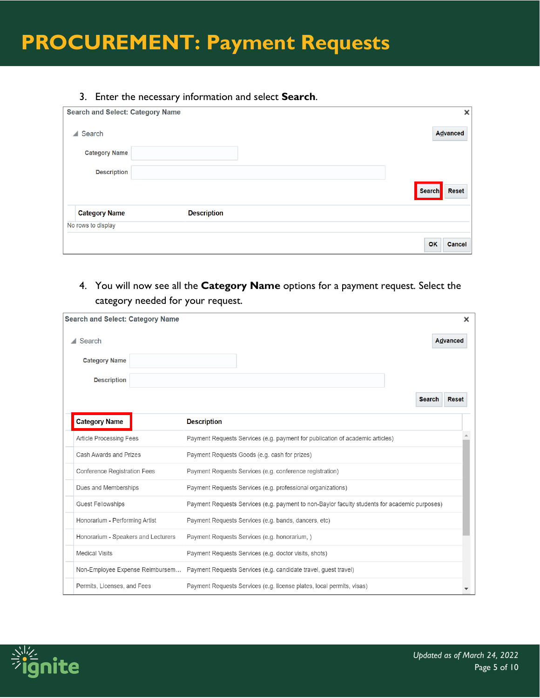#### 3. Enter the necessary information and select **Search**.

| <b>Search and Select: Category Name</b> |                    | ×                             |
|-----------------------------------------|--------------------|-------------------------------|
| $\triangle$ Search                      |                    | <b>Advanced</b>               |
| <b>Category Name</b>                    |                    |                               |
| <b>Description</b>                      |                    |                               |
|                                         |                    | <b>Search</b><br><b>Reset</b> |
| <b>Category Name</b>                    | <b>Description</b> |                               |
| No rows to display                      |                    |                               |
|                                         |                    | OK<br>Cancel                  |

4. You will now see all the **Category Name** options for a payment request. Select the category needed for your request.

| <b>Search and Select: Category Name</b> | ×                                                                                             |
|-----------------------------------------|-----------------------------------------------------------------------------------------------|
| $\triangle$ Search                      | <b>Advanced</b>                                                                               |
| <b>Category Name</b>                    |                                                                                               |
| <b>Description</b>                      |                                                                                               |
|                                         | <b>Search</b><br><b>Reset</b>                                                                 |
| <b>Category Name</b>                    | <b>Description</b>                                                                            |
| <b>Article Processing Fees</b>          | Payment Requests Services (e.g. payment for publication of academic articles)                 |
| Cash Awards and Prizes                  | Payment Requests Goods (e.g. cash for prizes)                                                 |
| <b>Conference Registration Fees</b>     | Payment Requests Services (e.g. conference registration)                                      |
| Dues and Memberships                    | Payment Requests Services (e.g. professional organizations)                                   |
| <b>Guest Fellowships</b>                | Payment Requests Services (e.g. payment to non-Baylor faculty students for academic purposes) |
| Honorarium - Performing Artist          | Payment Requests Services (e.g. bands, dancers, etc)                                          |
| Honorarium - Speakers and Lecturers     | Payment Requests Services (e.g. honorarium, )                                                 |
| <b>Medical Visits</b>                   | Payment Requests Services (e.g. doctor visits, shots)                                         |
| Non-Employee Expense Reimbursem         | Payment Requests Services (e.g. candidate travel, guest travel)                               |
| Permits, Licenses, and Fees             | Payment Requests Services (e.g. license plates, local permits, visas)                         |

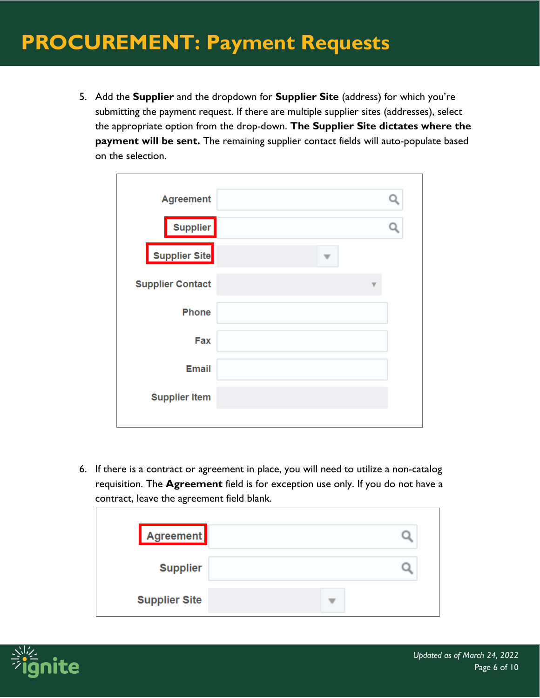5. Add the **Supplier** and the dropdown for **Supplier Site** (address) for which you're submitting the payment request. If there are multiple supplier sites (addresses), select the appropriate option from the drop-down. **The Supplier Site dictates where the payment will be sent.** The remaining supplier contact fields will auto-populate based on the selection.

| <b>Agreement</b>        |  |
|-------------------------|--|
| <b>Supplier</b>         |  |
| <b>Supplier Site</b>    |  |
| <b>Supplier Contact</b> |  |
| <b>Phone</b>            |  |
| Fax                     |  |
| <b>Email</b>            |  |
| <b>Supplier Item</b>    |  |
|                         |  |

6. If there is a contract or agreement in place, you will need to utilize a non-catalog requisition. The **Agreement** field is for exception use only. If you do not have a contract, leave the agreement field blank.

| Agreement            |  |
|----------------------|--|
| <b>Supplier</b>      |  |
| <b>Supplier Site</b> |  |

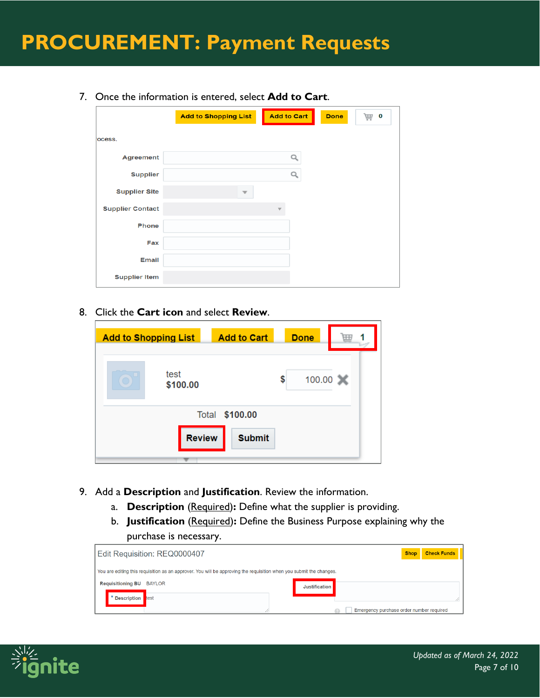7. Once the information is entered, select **Add to Cart**.

|                         | <b>Add to Shopping List</b> | <b>Add to Cart</b> | <b>Done</b> | 0<br>扁 |
|-------------------------|-----------------------------|--------------------|-------------|--------|
| ocess.                  |                             |                    |             |        |
| <b>Agreement</b>        |                             | Q                  |             |        |
| <b>Supplier</b>         |                             | Q                  |             |        |
| <b>Supplier Site</b>    |                             |                    |             |        |
| <b>Supplier Contact</b> |                             |                    |             |        |
| <b>Phone</b>            |                             |                    |             |        |
| <b>Fax</b>              |                             |                    |             |        |
| <b>Email</b>            |                             |                    |             |        |
| <b>Supplier Item</b>    |                             |                    |             |        |

### 8. Click the **Cart icon** and select **Review**.

| <b>Add to Shopping List</b>    | <b>Add to Cart</b> | <b>Done</b>  |             |
|--------------------------------|--------------------|--------------|-------------|
| test<br>$\bigcirc$<br>\$100.00 |                    | 100.00<br>\$ | $\mathbf x$ |
| Total                          | \$100.00           |              |             |
| <b>Review</b>                  | <b>Submit</b>      |              |             |
|                                |                    |              |             |

- 9. Add a **Description** and **Justification**. Review the information.
	- a. **Description** (Required): Define what the supplier is providing.
	- b. **Justification** (Required)**:** Define the Business Purpose explaining why the purchase is necessary.

| Edit Requisition: REQ0000407                                                                                        |               |                                          | <b>Check Funds</b><br><b>Shop</b> |
|---------------------------------------------------------------------------------------------------------------------|---------------|------------------------------------------|-----------------------------------|
| You are editing this requisition as an approver. You will be approving the requisition when you submit the changes. |               |                                          |                                   |
| <b>Requisitioning BU</b><br><b>BAYLOR</b>                                                                           | Justification |                                          |                                   |
| * Description test                                                                                                  |               |                                          |                                   |
|                                                                                                                     |               | Emergency purchase order number required |                                   |

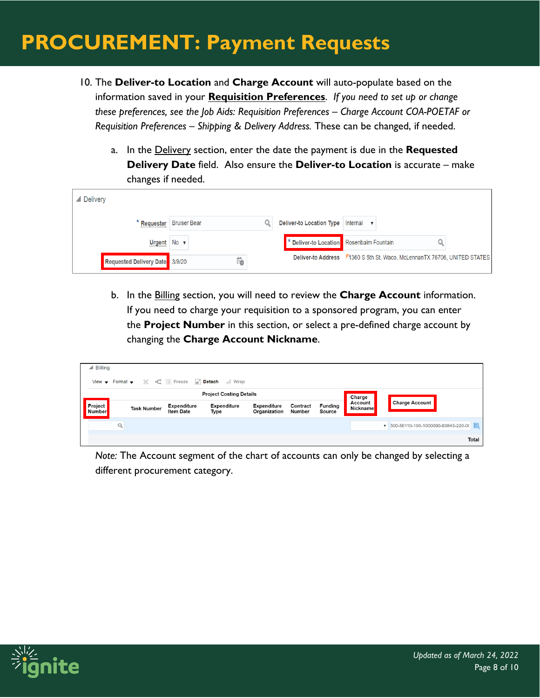- 10. The **Deliver-to Location** and **Charge Account** will auto-populate based on the information saved in your **Requisition Preferences**. *If you need to set up or change these preferences, see the Job Aids: Requisition Preferences – Charge Account COA-POETAF or Requisition Preferences – Shipping & Delivery Address.* These can be changed, if needed.
	- a. In the Delivery section, enter the date the payment is due in the **Requested Delivery Date** field. Also ensure the **Deliver-to Location** is accurate – make changes if needed.

| <b>△</b> Delivery              |                     |    |                                          |                                                                          |  |
|--------------------------------|---------------------|----|------------------------------------------|--------------------------------------------------------------------------|--|
| Requester                      | <b>Bruiser Bear</b> |    | Deliver-to Location Type                 | Internal                                                                 |  |
| Urgent No v                    |                     |    | * Deliver-to Location Rosenbalm Fountain |                                                                          |  |
| Requested Delivery Date 3/9/20 |                     | Ïo |                                          | Deliver-to Address 71360 S 5th St, Waco, McLennanTX 76706, UNITED STATES |  |

b. In the Billing section, you will need to review the **Charge Account** information. If you need to charge your requisition to a sponsored program, you can enter the **Project Number** in this section, or select a pre-defined charge account by changing the **Charge Account Nickname**.

| $\triangle$ Billing            |   |                    |                                        |                                                                                                            |                                    |                    |                          |                            |                                           |
|--------------------------------|---|--------------------|----------------------------------------|------------------------------------------------------------------------------------------------------------|------------------------------------|--------------------|--------------------------|----------------------------|-------------------------------------------|
|                                |   |                    |                                        | View $\bullet$ Format $\bullet$ $\bullet$ $\bullet$ $\bullet$ IIII Freeze <b>EX</b> Detach <b>All</b> Wrap |                                    |                    |                          |                            |                                           |
| <b>Project Costing Details</b> |   |                    |                                        |                                                                                                            |                                    |                    |                          | Charge                     |                                           |
| <b>Project</b><br>Number       |   | <b>Task Number</b> | <b>Expenditure</b><br><b>Item Date</b> | <b>Expenditure</b><br>Type                                                                                 | <b>Expenditure</b><br>Organization | Contract<br>Number | <b>Funding</b><br>Source | Account<br><b>Nickname</b> | <b>Charge Account</b>                     |
|                                | Q |                    |                                        |                                                                                                            |                                    |                    |                          |                            | 邑<br>▼ 500-50110-100-1000000-93843-220-00 |
|                                |   |                    |                                        |                                                                                                            |                                    |                    |                          |                            | Total                                     |

*Note:* The Account segment of the chart of accounts can only be changed by selecting a different procurement category.

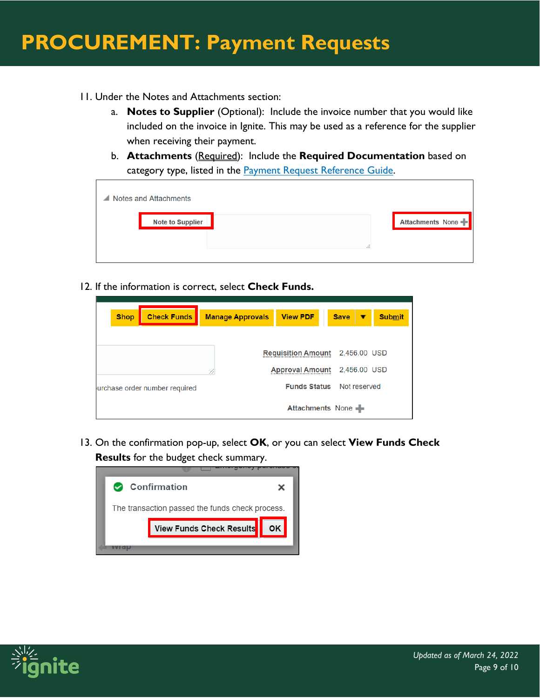- 11. Under the Notes and Attachments section:
	- a. **Notes to Supplier** (Optional): Include the invoice number that you would like included on the invoice in Ignite. This may be used as a reference for the supplier when receiving their payment.
	- b. **Attachments** (Required): Include the **Required Documentation** based on category type, listed in the [Payment Request Reference Guide.](https://www.baylor.edu/ignite/doc.php/357771.pdf)

| $\triangle$ Notes and Attachments |       |                  |
|-----------------------------------|-------|------------------|
| <b>Note to Supplier</b>           |       | Attachments None |
|                                   | 10.11 |                  |

12. If the information is correct, select **Check Funds.** 

| <b>Shop</b><br><b>Check Funds</b> | <b>Manage Approvals</b> | <b>View PDF</b>                  | <b>Save</b> | <b>Submit</b> |
|-----------------------------------|-------------------------|----------------------------------|-------------|---------------|
|                                   |                         |                                  |             |               |
|                                   |                         |                                  |             |               |
|                                   |                         | <b>Requisition Amount</b>        |             | 2,456.00 USD  |
|                                   |                         | <b>Approval Amount</b>           |             | 2,456.00 USD  |
| urchase order number required     |                         | <b>Funds Status</b> Not reserved |             |               |
|                                   |                         |                                  |             |               |
|                                   |                         | <b>Attachments None</b>          |             |               |

13. On the confirmation pop-up, select **OK**, or you can select **View Funds Check Results** for the budget check summary.

| Confirmation                                    |  |
|-------------------------------------------------|--|
| The transaction passed the funds check process. |  |
| View Funds Check Results                        |  |
|                                                 |  |